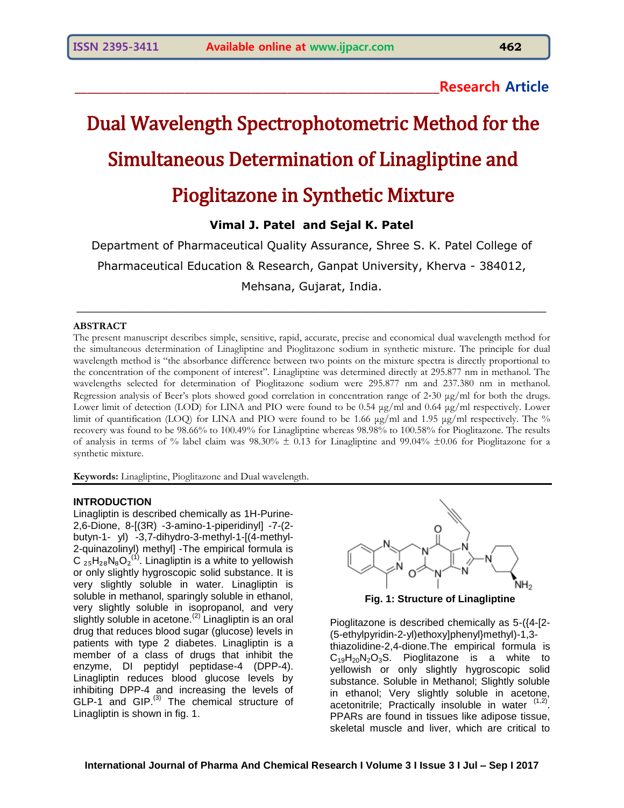**\_\_\_\_\_\_\_\_\_\_\_\_\_\_\_\_\_\_\_\_\_\_\_\_\_\_\_\_\_\_\_\_\_\_\_\_\_\_\_\_\_\_\_\_\_\_\_\_\_\_\_\_\_\_\_\_\_\_\_\_Research Article**

# Dual Wavelength Spectrophotometric Method for the Simultaneous Determination of Linagliptine and Pioglitazone in Synthetic Mixture

**Vimal J. Patel and Sejal K. Patel**

Department of Pharmaceutical Quality Assurance, Shree S. K. Patel College of Pharmaceutical Education & Research, Ganpat University, Kherva - 384012, Mehsana, Gujarat, India.

\_\_\_\_\_\_\_\_\_\_\_\_\_\_\_\_\_\_\_\_\_\_\_\_\_\_\_\_\_\_\_\_\_\_\_\_\_\_\_\_\_\_\_\_\_\_\_\_\_\_\_\_\_\_\_\_\_\_\_\_\_\_\_\_\_\_

## **ABSTRACT**

The present manuscript describes simple, sensitive, rapid, accurate, precise and economical dual wavelength method for the simultaneous determination of Linagliptine and Pioglitazone sodium in synthetic mixture. The principle for dual wavelength method is "the absorbance difference between two points on the mixture spectra is directly proportional to the concentration of the component of interest". Linagliptine was determined directly at 295.877 nm in methanol. The wavelengths selected for determination of Pioglitazone sodium were 295.877 nm and 237.380 nm in methanol. Regression analysis of Beer's plots showed good correlation in concentration range of 2-30  $\mu$ g/ml for both the drugs. Lower limit of detection (LOD) for LINA and PIO were found to be 0.54 μg/ml and 0.64 μg/ml respectively. Lower limit of quantification (LOQ) for LINA and PIO were found to be 1.66 μg/ml and 1.95 μg/ml respectively. The % recovery was found to be 98.66% to 100.49% for Linagliptine whereas 98.98% to 100.58% for Pioglitazone. The results of analysis in terms of % label claim was  $98.30\% \pm 0.13$  for Linagliptine and  $99.04\% \pm 0.06$  for Pioglitazone for a synthetic mixture.

**Keywords:** Linagliptine, Pioglitazone and Dual wavelength.

## **INTRODUCTION**

Linagliptin is described chemically as 1H-Purine-2,6-Dione, 8-[(3R) -3-amino-1-piperidinyl] -7-(2 butyn-1- yl) -3,7-dihydro-3-methyl-1-[(4-methyl-2-quinazolinyl) methyl] -The empirical formula is C  $_{25}$ H<sub>28</sub>N<sub>8</sub>O<sub>2</sub><sup>(1)</sup>. Linagliptin is a white to yellowish or only slightly hygroscopic solid substance. It is very slightly soluble in water. Linagliptin is soluble in methanol, sparingly soluble in ethanol, very slightly soluble in isopropanol, and very slightly soluble in acetone. $(2)$  Linagliptin is an oral drug that reduces blood sugar (glucose) levels in patients with type 2 diabetes. Linagliptin is a member of a class of drugs that inhibit the enzyme, DI peptidyl peptidase-4 (DPP-4). Linagliptin reduces blood glucose levels by inhibiting DPP-4 and increasing the levels of  $GLP-1$  and  $GIP.<sup>(3)</sup>$  The chemical structure of Linagliptin is shown in fig. 1.



**Fig. 1: Structure of Linagliptine**

Pioglitazone is described chemically as 5-({4-[2- (5-ethylpyridin-2-yl)ethoxy]phenyl}methyl)-1,3 thiazolidine-2,4-dione.The empirical formula is  $C_{19}H_{20}N_2O_3S$ . Pioglitazone is a white to yellowish or only slightly hygroscopic solid substance. Soluble in Methanol; Slightly soluble in ethanol; Very slightly soluble in acetone, acetonitrile; Practically insoluble in water (1,2) PPARs are found in tissues like adipose tissue, skeletal muscle and liver, which are critical to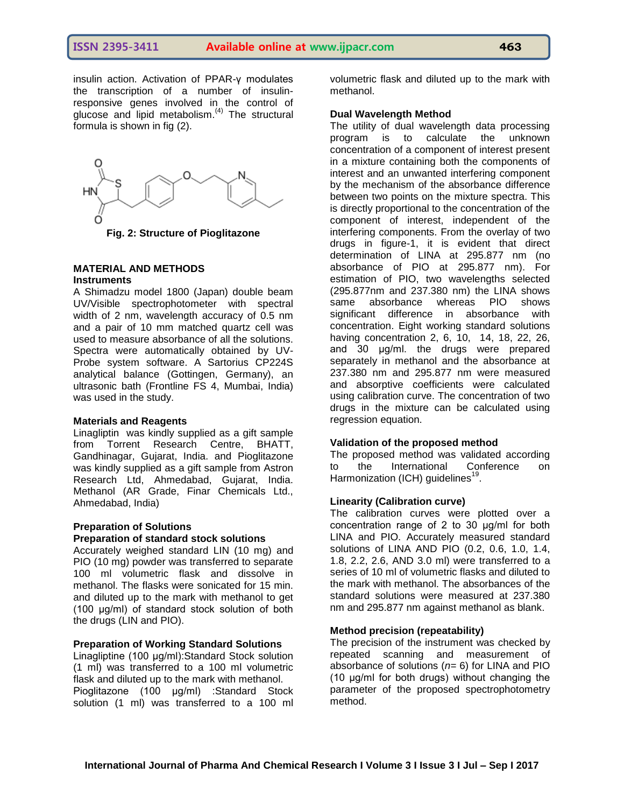insulin action. Activation of PPAR-γ modulates the transcription of a number of insulinresponsive genes involved in the control of glucose and lipid metabolism. $(4)$  The structural formula is shown in fig (2).



**Fig. 2: Structure of Pioglitazone**

# **MATERIAL AND METHODS Instruments**

A Shimadzu model 1800 (Japan) double beam UV/Visible spectrophotometer with spectral width of 2 nm, wavelength accuracy of 0.5 nm and a pair of 10 mm matched quartz cell was used to measure absorbance of all the solutions. Spectra were automatically obtained by UV-Probe system software. A Sartorius CP224S analytical balance (Gottingen, Germany), an ultrasonic bath (Frontline FS 4, Mumbai, India) was used in the study.

## **Materials and Reagents**

Linagliptin was kindly supplied as a gift sample from Torrent Research Centre, BHATT, Gandhinagar, Gujarat, India. and Pioglitazone was kindly supplied as a gift sample from Astron Research Ltd, Ahmedabad, Gujarat, India. Methanol (AR Grade, Finar Chemicals Ltd., Ahmedabad, India)

# **Preparation of Solutions**

# **Preparation of standard stock solutions**

Accurately weighed standard LIN (10 mg) and PIO (10 mg) powder was transferred to separate 100 ml volumetric flask and dissolve in methanol. The flasks were sonicated for 15 min. and diluted up to the mark with methanol to get (100 μg/ml) of standard stock solution of both the drugs (LIN and PIO).

## **Preparation of Working Standard Solutions**

Linagliptine (100 μg/ml):Standard Stock solution (1 ml) was transferred to a 100 ml volumetric flask and diluted up to the mark with methanol. Pioglitazone (100 μg/ml) :Standard Stock solution (1 ml) was transferred to a 100 ml volumetric flask and diluted up to the mark with methanol.

# **Dual Wavelength Method**

The utility of dual wavelength data processing program is to calculate the unknown concentration of a component of interest present in a mixture containing both the components of interest and an unwanted interfering component by the mechanism of the absorbance difference between two points on the mixture spectra. This is directly proportional to the concentration of the component of interest, independent of the interfering components. From the overlay of two drugs in figure-1, it is evident that direct determination of LINA at 295.877 nm (no absorbance of PIO at 295.877 nm). For estimation of PIO, two wavelengths selected (295.877nm and 237.380 nm) the LINA shows same absorbance whereas PIO shows significant difference in absorbance with concentration. Eight working standard solutions having concentration 2, 6, 10, 14, 18, 22, 26, and 30 μg/ml. the drugs were prepared separately in methanol and the absorbance at 237.380 nm and 295.877 nm were measured and absorptive coefficients were calculated using calibration curve. The concentration of two drugs in the mixture can be calculated using regression equation.

## **Validation of the proposed method**

The proposed method was validated according to the International Conference on Harmonization (ICH) guidelines<sup>19</sup>.

#### **Linearity (Calibration curve)**

The calibration curves were plotted over a concentration range of 2 to 30 μg/ml for both LINA and PIO. Accurately measured standard solutions of LINA AND PIO (0.2, 0.6, 1.0, 1.4, 1.8, 2.2, 2.6, AND 3.0 ml) were transferred to a series of 10 ml of volumetric flasks and diluted to the mark with methanol. The absorbances of the standard solutions were measured at 237.380 nm and 295.877 nm against methanol as blank.

# **Method precision (repeatability)**

The precision of the instrument was checked by repeated scanning and measurement of absorbance of solutions (*n*= 6) for LINA and PIO (10 μg/ml for both drugs) without changing the parameter of the proposed spectrophotometry method.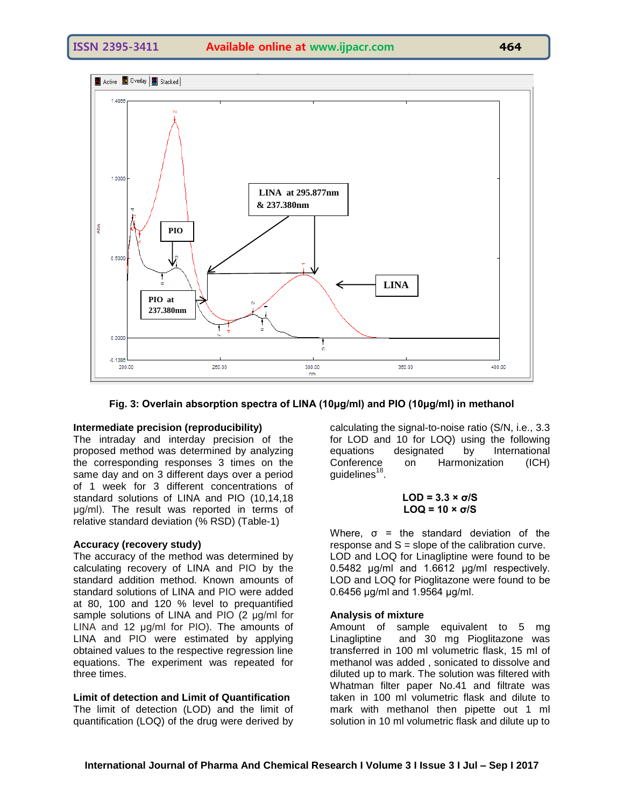

**Fig. 3: Overlain absorption spectra of LINA (10μg/ml) and PIO (10μg/ml) in methanol**

# **Intermediate precision (reproducibility)**

The intraday and interday precision of the proposed method was determined by analyzing the corresponding responses 3 times on the same day and on 3 different days over a period of 1 week for 3 different concentrations of standard solutions of LINA and PIO (10,14,18 μg/ml). The result was reported in terms of relative standard deviation (% RSD) (Table-1)

# **Accuracy (recovery study)**

The accuracy of the method was determined by calculating recovery of LINA and PIO by the standard addition method. Known amounts of standard solutions of LINA and PIO were added at 80, 100 and 120 % level to prequantified sample solutions of LINA and PIO (2 μg/ml for LINA and 12 μg/ml for PIO). The amounts of LINA and PIO were estimated by applying obtained values to the respective regression line equations. The experiment was repeated for three times.

# **Limit of detection and Limit of Quantification**

The limit of detection (LOD) and the limit of quantification (LOQ) of the drug were derived by

calculating the signal-to-noise ratio (S/N, i.e., 3.3 for LOD and 10 for LOQ) using the following equations designated by International Conference on Harmonization (ICH) guidelines $^{18}$ .

$$
LOD = 3.3 \times \sigma/S
$$
  

$$
LOQ = 10 \times \sigma/S
$$

Where,  $\sigma$  = the standard deviation of the response and  $S =$  slope of the calibration curve. LOD and LOQ for Linagliptine were found to be 0.5482 μg/ml and 1.6612 μg/ml respectively. LOD and LOQ for Pioglitazone were found to be 0.6456 μg/ml and 1.9564 μg/ml.

## **Analysis of mixture**

Amount of sample equivalent to 5 mg Linagliptine and 30 mg Pioglitazone was transferred in 100 ml volumetric flask, 15 ml of methanol was added , sonicated to dissolve and diluted up to mark. The solution was filtered with Whatman filter paper No.41 and filtrate was taken in 100 ml volumetric flask and dilute to mark with methanol then pipette out 1 ml solution in 10 ml volumetric flask and dilute up to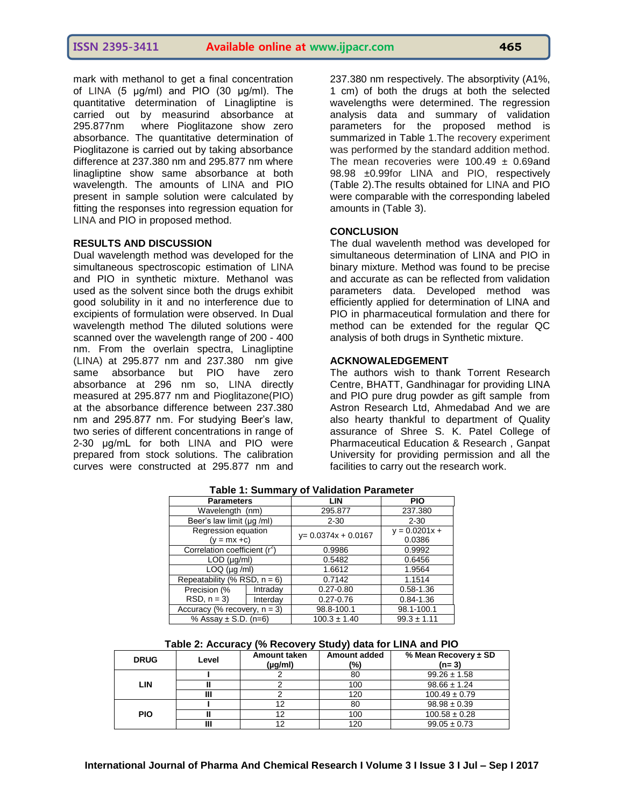mark with methanol to get a final concentration of LINA (5 μg/ml) and PIO (30 μg/ml). The quantitative determination of Linagliptine is carried out by measurind absorbance at 295.877nm where Pioglitazone show zero absorbance. The quantitative determination of Pioglitazone is carried out by taking absorbance difference at 237.380 nm and 295.877 nm where linagliptine show same absorbance at both wavelength. The amounts of LINA and PIO present in sample solution were calculated by fitting the responses into regression equation for LINA and PIO in proposed method.

# **RESULTS AND DISCUSSION**

Dual wavelength method was developed for the simultaneous spectroscopic estimation of LINA and PIO in synthetic mixture. Methanol was used as the solvent since both the drugs exhibit good solubility in it and no interference due to excipients of formulation were observed. In Dual wavelength method The diluted solutions were scanned over the wavelength range of 200 - 400 nm. From the overlain spectra, Linagliptine (LINA) at 295.877 nm and 237.380 nm give same absorbance but PIO have zero absorbance at 296 nm so, LINA directly measured at 295.877 nm and Pioglitazone(PIO) at the absorbance difference between 237.380 nm and 295.877 nm. For studying Beer's law, two series of different concentrations in range of 2-30 μg/mL for both LINA and PIO were prepared from stock solutions. The calibration curves were constructed at 295.877 nm and

237.380 nm respectively. The absorptivity (A1%, 1 cm) of both the drugs at both the selected wavelengths were determined. The regression analysis data and summary of validation parameters for the proposed method is summarized in Table 1.The recovery experiment was performed by the standard addition method. The mean recoveries were  $100.49 \pm 0.69$  and 98.98 ±0.99for LINA and PIO, respectively (Table 2).The results obtained for LINA and PIO were comparable with the corresponding labeled amounts in (Table 3).

# **CONCLUSION**

The dual wavelenth method was developed for simultaneous determination of LINA and PIO in binary mixture. Method was found to be precise and accurate as can be reflected from validation parameters data. Developed method was efficiently applied for determination of LINA and PIO in pharmaceutical formulation and there for method can be extended for the regular QC analysis of both drugs in Synthetic mixture.

# **ACKNOWALEDGEMENT**

The authors wish to thank Torrent Research Centre, BHATT, Gandhinagar for providing LINA and PIO pure drug powder as gift sample from Astron Research Ltd, Ahmedabad And we are also hearty thankful to department of Quality assurance of Shree S. K. Patel College of Pharmaceutical Education & Research , Ganpat University for providing permission and all the facilities to carry out the research work.

| . apiv  Januna: , J. Tanaation . araniotor |          |                        |                           |  |  |  |  |  |
|--------------------------------------------|----------|------------------------|---------------------------|--|--|--|--|--|
| <b>Parameters</b>                          |          | <b>LIN</b>             | <b>PIO</b>                |  |  |  |  |  |
| Wavelength (nm)                            |          | 295.877                | 237.380                   |  |  |  |  |  |
| Beer's law limit (µg /ml)                  |          | $2 - 30$               | $2 - 30$                  |  |  |  |  |  |
| Regression equation<br>$(y = mx + c)$      |          | $y = 0.0374x + 0.0167$ | $y = 0.0201x +$<br>0.0386 |  |  |  |  |  |
| Correlation coefficient (r <sup>2</sup> )  |          | 0.9986                 | 0.9992                    |  |  |  |  |  |
| $LOD$ ( $\mu q/ml$ )                       |          | 0.5482                 | 0.6456                    |  |  |  |  |  |
| $LOQ$ ( $\mu q$ /ml)                       |          | 1.6612                 | 1.9564                    |  |  |  |  |  |
| Repeatability (% RSD, $n = 6$ )            |          | 0.7142                 | 1.1514                    |  |  |  |  |  |
| Precision (%                               | Intraday | $0.27 - 0.80$          | $0.58 - 1.36$             |  |  |  |  |  |
| $RSD, n = 3$                               | Interday | $0.27 - 0.76$          | $0.84 - 1.36$             |  |  |  |  |  |
| Accuracy (% recovery, $n = 3$ )            |          | 98.8-100.1             | 98.1-100.1                |  |  |  |  |  |
| % Assay $\pm$ S.D. (n=6)                   |          | $100.3 \pm 1.40$       | $99.3 \pm 1.11$           |  |  |  |  |  |

# **Table 1: Summary of Validation Parameter**

**Table 2: Accuracy (% Recovery Study) data for LINA and PIO**

| <b>DRUG</b> | Level | <b>Amount taken</b><br>$(\mu g/ml)$ | Amount added<br>(%) | % Mean Recovery $\pm$ SD<br>$(n=3)$ |  |
|-------------|-------|-------------------------------------|---------------------|-------------------------------------|--|
| LIN         |       |                                     | 80                  | $99.26 \pm 1.58$                    |  |
|             |       |                                     | 100                 | $98.66 \pm 1.24$                    |  |
|             |       |                                     | 120                 | $100.49 \pm 0.79$                   |  |
| <b>PIO</b>  |       |                                     | 80                  | $98.98 \pm 0.39$                    |  |
|             |       |                                     | 100                 | $100.58 \pm 0.28$                   |  |
|             |       |                                     | 120                 | $99.05 \pm 0.73$                    |  |